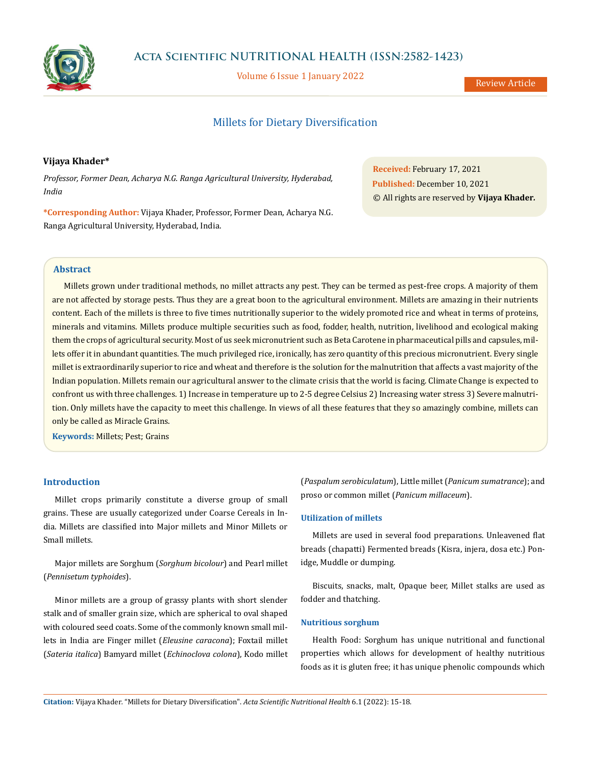

Volume 6 Issue 1 January 2022

Review Article

# Millets for Dietary Diversification

## **Vijaya Khader\***

*Professor, Former Dean, Acharya N.G. Ranga Agricultural University, Hyderabad, India*

**\*Corresponding Author:** Vijaya Khader, Professor, Former Dean, Acharya N.G. Ranga Agricultural University, Hyderabad, India.

**Received:** February 17, 2021 **Published:** December 10, 2021 © All rights are reserved by **Vijaya Khader***.*

### **Abstract**

Millets grown under traditional methods, no millet attracts any pest. They can be termed as pest-free crops. A majority of them are not affected by storage pests. Thus they are a great boon to the agricultural environment. Millets are amazing in their nutrients content. Each of the millets is three to five times nutritionally superior to the widely promoted rice and wheat in terms of proteins, minerals and vitamins. Millets produce multiple securities such as food, fodder, health, nutrition, livelihood and ecological making them the crops of agricultural security. Most of us seek micronutrient such as Beta Carotene in pharmaceutical pills and capsules, millets offer it in abundant quantities. The much privileged rice, ironically, has zero quantity of this precious micronutrient. Every single millet is extraordinarily superior to rice and wheat and therefore is the solution for the malnutrition that affects a vast majority of the Indian population. Millets remain our agricultural answer to the climate crisis that the world is facing. Climate Change is expected to confront us with three challenges. 1) Increase in temperature up to 2-5 degree Celsius 2) Increasing water stress 3) Severe malnutrition. Only millets have the capacity to meet this challenge. In views of all these features that they so amazingly combine, millets can only be called as Miracle Grains.

**Keywords:** Millets; Pest; Grains

### **Introduction**

Millet crops primarily constitute a diverse group of small grains. These are usually categorized under Coarse Cereals in India. Millets are classified into Major millets and Minor Millets or Small millets.

Major millets are Sorghum (*Sorghum bicolour*) and Pearl millet (*Pennisetum typhoides*).

Minor millets are a group of grassy plants with short slender stalk and of smaller grain size, which are spherical to oval shaped with coloured seed coats. Some of the commonly known small millets in India are Finger millet (*Eleusine caracona*); Foxtail millet (*Sateria italica*) Bamyard millet (*Echinoclova colona*), Kodo millet (*Paspalum serobiculatum*), Little millet (*Panicum sumatrance*); and proso or common millet (*Panicum millaceum*).

### **Utilization of millets**

Millets are used in several food preparations. Unleavened flat breads (chapatti) Fermented breads (Kisra, injera, dosa etc.) Ponidge, Muddle or dumping.

Biscuits, snacks, malt, Opaque beer, Millet stalks are used as fodder and thatching.

### **Nutritious sorghum**

Health Food: Sorghum has unique nutritional and functional properties which allows for development of healthy nutritious foods as it is gluten free; it has unique phenolic compounds which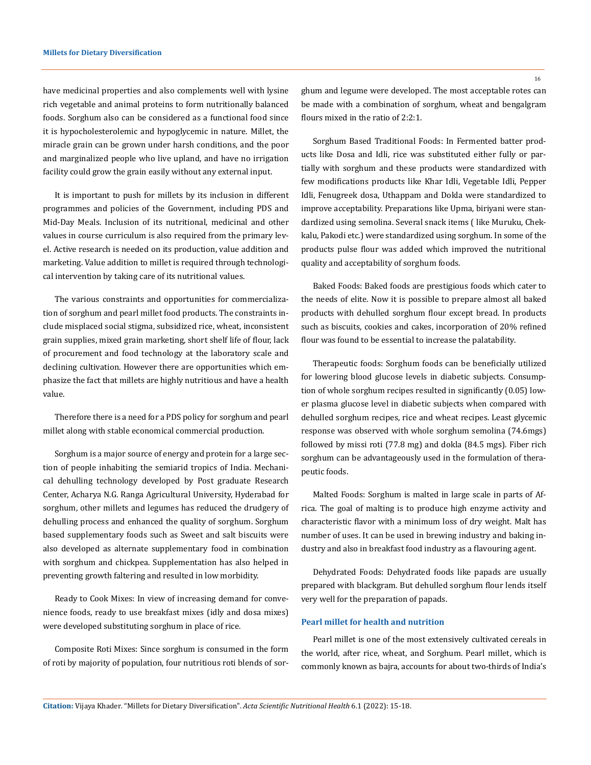have medicinal properties and also complements well with lysine rich vegetable and animal proteins to form nutritionally balanced foods. Sorghum also can be considered as a functional food since it is hypocholesterolemic and hypoglycemic in nature. Millet, the miracle grain can be grown under harsh conditions, and the poor and marginalized people who live upland, and have no irrigation facility could grow the grain easily without any external input.

It is important to push for millets by its inclusion in different programmes and policies of the Government, including PDS and Mid-Day Meals. Inclusion of its nutritional, medicinal and other values in course curriculum is also required from the primary level. Active research is needed on its production, value addition and marketing. Value addition to millet is required through technological intervention by taking care of its nutritional values.

The various constraints and opportunities for commercialization of sorghum and pearl millet food products. The constraints include misplaced social stigma, subsidized rice, wheat, inconsistent grain supplies, mixed grain marketing, short shelf life of flour, lack of procurement and food technology at the laboratory scale and declining cultivation. However there are opportunities which emphasize the fact that millets are highly nutritious and have a health value.

Therefore there is a need for a PDS policy for sorghum and pearl millet along with stable economical commercial production.

Sorghum is a major source of energy and protein for a large section of people inhabiting the semiarid tropics of India. Mechanical dehulling technology developed by Post graduate Research Center, Acharya N.G. Ranga Agricultural University, Hyderabad for sorghum, other millets and legumes has reduced the drudgery of dehulling process and enhanced the quality of sorghum. Sorghum based supplementary foods such as Sweet and salt biscuits were also developed as alternate supplementary food in combination with sorghum and chickpea. Supplementation has also helped in preventing growth faltering and resulted in low morbidity.

Ready to Cook Mixes: In view of increasing demand for convenience foods, ready to use breakfast mixes (idly and dosa mixes) were developed substituting sorghum in place of rice.

Composite Roti Mixes: Since sorghum is consumed in the form of roti by majority of population, four nutritious roti blends of sorghum and legume were developed. The most acceptable rotes can be made with a combination of sorghum, wheat and bengalgram flours mixed in the ratio of 2:2:1.

Sorghum Based Traditional Foods: In Fermented batter products like Dosa and Idli, rice was substituted either fully or partially with sorghum and these products were standardized with few modifications products like Khar Idli, Vegetable Idli, Pepper Idli, Fenugreek dosa, Uthappam and Dokla were standardized to improve acceptability. Preparations like Upma, biriyani were standardized using semolina. Several snack items ( like Muruku, Chekkalu, Pakodi etc.) were standardized using sorghum. In some of the products pulse flour was added which improved the nutritional quality and acceptability of sorghum foods.

Baked Foods: Baked foods are prestigious foods which cater to the needs of elite. Now it is possible to prepare almost all baked products with dehulled sorghum flour except bread. In products such as biscuits, cookies and cakes, incorporation of 20% refined flour was found to be essential to increase the palatability.

Therapeutic foods: Sorghum foods can be beneficially utilized for lowering blood glucose levels in diabetic subjects. Consumption of whole sorghum recipes resulted in significantly (0.05) lower plasma glucose level in diabetic subjects when compared with dehulled sorghum recipes, rice and wheat recipes. Least glycemic response was observed with whole sorghum semolina (74.6mgs) followed by missi roti (77.8 mg) and dokla (84.5 mgs). Fiber rich sorghum can be advantageously used in the formulation of therapeutic foods.

Malted Foods: Sorghum is malted in large scale in parts of Africa. The goal of malting is to produce high enzyme activity and characteristic flavor with a minimum loss of dry weight. Malt has number of uses. It can be used in brewing industry and baking industry and also in breakfast food industry as a flavouring agent.

Dehydrated Foods: Dehydrated foods like papads are usually prepared with blackgram. But dehulled sorghum flour lends itself very well for the preparation of papads.

### **Pearl millet for health and nutrition**

Pearl millet is one of the most extensively cultivated cereals in the world, after rice, wheat, and Sorghum. Pearl millet, which is commonly known as bajra, accounts for about two-thirds of India's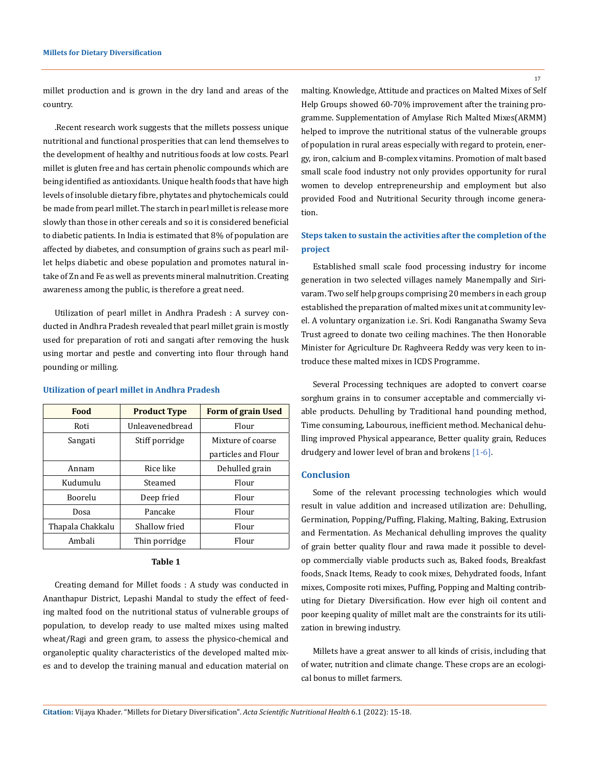millet production and is grown in the dry land and areas of the country.

.Recent research work suggests that the millets possess unique nutritional and functional prosperities that can lend themselves to the development of healthy and nutritious foods at low costs. Pearl millet is gluten free and has certain phenolic compounds which are being identified as antioxidants. Unique health foods that have high levels of insoluble dietary fibre, phytates and phytochemicals could be made from pearl millet. The starch in pearl millet is release more slowly than those in other cereals and so it is considered beneficial to diabetic patients. In India is estimated that 8% of population are affected by diabetes, and consumption of grains such as pearl millet helps diabetic and obese population and promotes natural intake of Zn and Fe as well as prevents mineral malnutrition. Creating awareness among the public, is therefore a great need.

Utilization of pearl millet in Andhra Pradesh : A survey conducted in Andhra Pradesh revealed that pearl millet grain is mostly used for preparation of roti and sangati after removing the husk using mortar and pestle and converting into flour through hand pounding or milling.

| Food             | <b>Product Type</b> | <b>Form of grain Used</b> |
|------------------|---------------------|---------------------------|
| Roti             | Unleavenedbread     | Flour                     |
| Sangati          | Stiff porridge      | Mixture of coarse         |
|                  |                     | particles and Flour       |
| Annam            | Rice like           | Dehulled grain            |
| Kudumulu         | Steamed             | Flour                     |
| Boorelu          | Deep fried          | Flour                     |
| Dosa             | Pancake             | Flour                     |
| Thapala Chakkalu | Shallow fried       | Flour                     |
| Ambali           | Thin porridge       | Flour                     |

#### **Utilization of pearl millet in Andhra Pradesh**

### **Table 1**

Creating demand for Millet foods : A study was conducted in Ananthapur District, Lepashi Mandal to study the effect of feeding malted food on the nutritional status of vulnerable groups of population, to develop ready to use malted mixes using malted wheat/Ragi and green gram, to assess the physico-chemical and organoleptic quality characteristics of the developed malted mixes and to develop the training manual and education material on

malting. Knowledge, Attitude and practices on Malted Mixes of Self Help Groups showed 60-70% improvement after the training programme. Supplementation of Amylase Rich Malted Mixes(ARMM) helped to improve the nutritional status of the vulnerable groups of population in rural areas especially with regard to protein, energy, iron, calcium and B-complex vitamins. Promotion of malt based small scale food industry not only provides opportunity for rural women to develop entrepreneurship and employment but also provided Food and Nutritional Security through income generation.

# **Steps taken to sustain the activities after the completion of the project**

Established small scale food processing industry for income generation in two selected villages namely Manempally and Sirivaram. Two self help groups comprising 20 members in each group established the preparation of malted mixes unit at community level. A voluntary organization i.e. Sri. Kodi Ranganatha Swamy Seva Trust agreed to donate two ceiling machines. The then Honorable Minister for Agriculture Dr. Raghveera Reddy was very keen to introduce these malted mixes in ICDS Programme.

Several Processing techniques are adopted to convert coarse sorghum grains in to consumer acceptable and commercially viable products. Dehulling by Traditional hand pounding method, Time consuming, Labourous, inefficient method. Mechanical dehulling improved Physical appearance, Better quality grain, Reduces drudgery and lower level of bran and brokens [1-6].

### **Conclusion**

Some of the relevant processing technologies which would result in value addition and increased utilization are: Dehulling, Germination, Popping/Puffing, Flaking, Malting, Baking, Extrusion and Fermentation. As Mechanical dehulling improves the quality of grain better quality flour and rawa made it possible to develop commercially viable products such as, Baked foods, Breakfast foods, Snack Items, Ready to cook mixes, Dehydrated foods, Infant mixes, Composite roti mixes, Puffing, Popping and Malting contributing for Dietary Diversification. How ever high oil content and poor keeping quality of millet malt are the constraints for its utilization in brewing industry.

Millets have a great answer to all kinds of crisis, including that of water, nutrition and climate change. These crops are an ecological bonus to millet farmers.

**Citation:** Vijaya Khader*.* "Millets for Dietary Diversification". *Acta Scientific Nutritional Health* 6.1 (2022): 15-18.

17